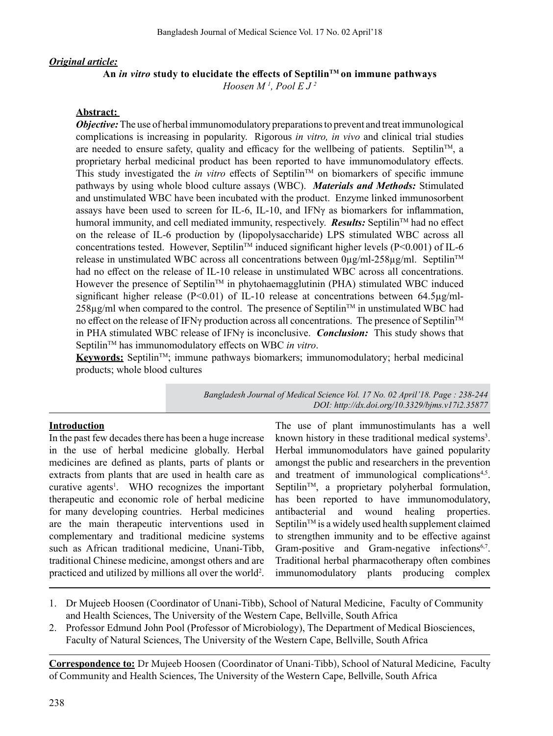### *Original article:*

### **An** *in vitro* **study to elucidate the effects of SeptilinTM on immune pathways**

*Hoosen M 1 , Pool E J 2*

### **Abstract:**

*Objective:* The use of herbal immunomodulatory preparations to prevent and treat immunological complications is increasing in popularity. Rigorous *in vitro, in vivo* and clinical trial studies are needed to ensure safety, quality and efficacy for the wellbeing of patients. Septilin<sup>TM</sup>, a proprietary herbal medicinal product has been reported to have immunomodulatory effects. This study investigated the *in vitro* effects of Septilin<sup>TM</sup> on biomarkers of specific immune pathways by using whole blood culture assays (WBC). *Materials and Methods:* Stimulated and unstimulated WBC have been incubated with the product. Enzyme linked immunosorbent assays have been used to screen for IL-6, IL-10, and IFNγ as biomarkers for inflammation, humoral immunity, and cell mediated immunity, respectively. *Results:* Septilin<sup>TM</sup> had no effect on the release of IL-6 production by (lipopolysaccharide) LPS stimulated WBC across all concentrations tested. However, Septilin<sup>TM</sup> induced significant higher levels (P<0.001) of IL-6 release in unstimulated WBC across all concentrations between  $0\mu\text{g/ml}$ -258 $\mu\text{g/ml}$ . Septilin<sup>TM</sup> had no effect on the release of IL-10 release in unstimulated WBC across all concentrations. However the presence of Septilin<sup>TM</sup> in phytohaemagglutinin (PHA) stimulated WBC induced significant higher release ( $P<0.01$ ) of IL-10 release at concentrations between 64.5 $\mu$ g/ml- $258\mu g/ml$  when compared to the control. The presence of Septilin<sup>TM</sup> in unstimulated WBC had no effect on the release of IFNγ production across all concentrations. The presence of Septilin™ in PHA stimulated WBC release of IFNγ is inconclusive. *Conclusion:*This study shows that SeptilinTM has immunomodulatory effects on WBC *in vitro*.

**Keywords:** Septilin<sup>™</sup>; immune pathways biomarkers; immunomodulatory; herbal medicinal products; whole blood cultures

> *Bangladesh Journal of Medical Science Vol. 17 No. 02 April'18. Page : 238-244 DOI: http://dx.doi.org/10.3329/bjms.v17i2.35877*

#### **Introduction**

In the past few decades there has been a huge increase in the use of herbal medicine globally. Herbal medicines are defined as plants, parts of plants or extracts from plants that are used in health care as curative agents<sup>1</sup>. WHO recognizes the important therapeutic and economic role of herbal medicine for many developing countries. Herbal medicines are the main therapeutic interventions used in complementary and traditional medicine systems such as African traditional medicine, Unani-Tibb, traditional Chinese medicine, amongst others and are practiced and utilized by millions all over the world<sup>2</sup>.

The use of plant immunostimulants has a well known history in these traditional medical systems<sup>3</sup>. Herbal immunomodulators have gained popularity amongst the public and researchers in the prevention and treatment of immunological complications<sup>4,5</sup>. Septilin<sup>TM</sup>, a proprietary polyherbal formulation, has been reported to have immunomodulatory, antibacterial and wound healing properties. Septilin<sup>TM</sup> is a widely used health supplement claimed to strengthen immunity and to be effective against Gram-positive and Gram-negative infections<sup>6,7</sup>. Traditional herbal pharmacotherapy often combines immunomodulatory plants producing complex

- 1. Dr Mujeeb Hoosen (Coordinator of Unani-Tibb), School of Natural Medicine, Faculty of Community and Health Sciences, The University of the Western Cape, Bellville, South Africa
- 2. Professor Edmund John Pool (Professor of Microbiology), The Department of Medical Biosciences, Faculty of Natural Sciences, The University of the Western Cape, Bellville, South Africa

**Correspondence to:** Dr Mujeeb Hoosen (Coordinator of Unani-Tibb), School of Natural Medicine, Faculty of Community and Health Sciences, The University of the Western Cape, Bellville, South Africa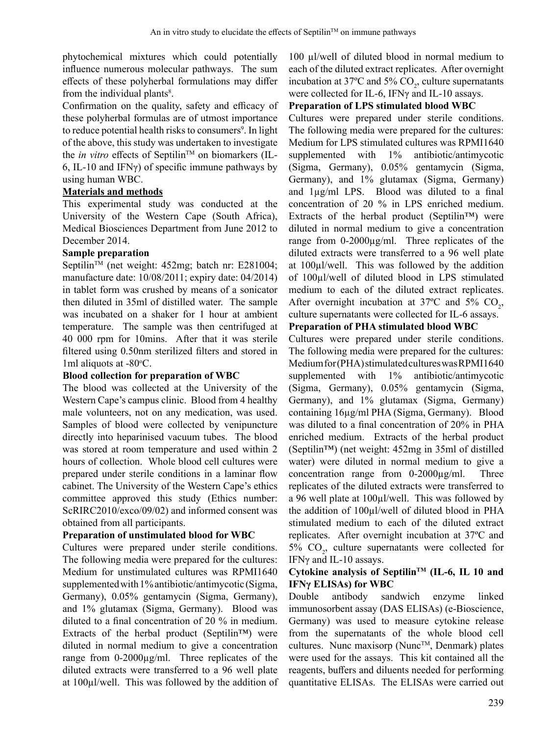phytochemical mixtures which could potentially influence numerous molecular pathways. The sum effects of these polyherbal formulations may differ from the individual plants<sup>8</sup>.

Confirmation on the quality, safety and efficacy of these polyherbal formulas are of utmost importance to reduce potential health risks to consumers<sup>9</sup>. In light of the above, this study was undertaken to investigate the *in vitro* effects of Septilin<sup>TM</sup> on biomarkers (IL-6, IL-10 and IFN $\gamma$ ) of specific immune pathways by using human WBC.

## **Materials and methods**

This experimental study was conducted at the University of the Western Cape (South Africa), Medical Biosciences Department from June 2012 to December 2014.

## **Sample preparation**

Septilin<sup>™</sup> (net weight: 452mg; batch nr: E281004; manufacture date: 10/08/2011; expiry date: 04/2014) in tablet form was crushed by means of a sonicator then diluted in 35ml of distilled water. The sample was incubated on a shaker for 1 hour at ambient temperature. The sample was then centrifuged at 40 000 rpm for 10mins. After that it was sterile filtered using 0.50nm sterilized filters and stored in 1ml aliquots at -80°C.

### **Blood collection for preparation of WBC**

The blood was collected at the University of the Western Cape's campus clinic. Blood from 4 healthy male volunteers, not on any medication, was used. Samples of blood were collected by venipuncture directly into heparinised vacuum tubes. The blood was stored at room temperature and used within 2 hours of collection. Whole blood cell cultures were prepared under sterile conditions in a laminar flow cabinet. The University of the Western Cape's ethics committee approved this study (Ethics number: ScRIRC2010/exco/09/02) and informed consent was obtained from all participants.

# **Preparation of unstimulated blood for WBC**

Cultures were prepared under sterile conditions. The following media were prepared for the cultures: Medium for unstimulated cultures was RPMI1640 supplemented with 1% antibiotic/antimycotic (Sigma, Germany), 0.05% gentamycin (Sigma, Germany), and 1% glutamax (Sigma, Germany). Blood was diluted to a final concentration of 20 % in medium. Extracts of the herbal product (Septilin™) were diluted in normal medium to give a concentration range from 0-2000µg/ml. Three replicates of the diluted extracts were transferred to a 96 well plate at 100µl/well. This was followed by the addition of 100 µl/well of diluted blood in normal medium to each of the diluted extract replicates. After overnight incubation at 37°C and 5%  $CO_2$ , culture supernatants were collected for IL-6, IFNγ and IL-10 assays.

## **Preparation of LPS stimulated blood WBC**

Cultures were prepared under sterile conditions. The following media were prepared for the cultures: Medium for LPS stimulated cultures was RPMI1640 supplemented with 1% antibiotic/antimycotic (Sigma, Germany), 0.05% gentamycin (Sigma, Germany), and 1% glutamax (Sigma, Germany) and 1µg/ml LPS. Blood was diluted to a final concentration of 20 % in LPS enriched medium. Extracts of the herbal product (Septilin™) were diluted in normal medium to give a concentration range from 0-2000µg/ml. Three replicates of the diluted extracts were transferred to a 96 well plate at 100µl/well. This was followed by the addition of 100µl/well of diluted blood in LPS stimulated medium to each of the diluted extract replicates. After overnight incubation at 37°C and 5%  $CO_2$ , culture supernatants were collected for IL-6 assays.

# **Preparation of PHA stimulated blood WBC**

Cultures were prepared under sterile conditions. The following media were prepared for the cultures: Medium for (PHA) stimulated cultures was RPMI1640 supplemented with 1% antibiotic/antimycotic (Sigma, Germany), 0.05% gentamycin (Sigma, Germany), and 1% glutamax (Sigma, Germany) containing 16µg/ml PHA (Sigma, Germany). Blood was diluted to a final concentration of 20% in PHA enriched medium. Extracts of the herbal product (Septilin™) (net weight: 452mg in 35ml of distilled water) were diluted in normal medium to give a concentration range from 0-2000µg/ml. Three replicates of the diluted extracts were transferred to a 96 well plate at 100µl/well. This was followed by the addition of 100µl/well of diluted blood in PHA stimulated medium to each of the diluted extract replicates. After overnight incubation at 37ºC and 5%  $CO<sub>2</sub>$ , culture supernatants were collected for IFNγ and IL-10 assays.

### **Cytokine analysis of SeptilinTM (IL-6, IL 10 and IFNγ ELISAs) for WBC**

Double antibody sandwich enzyme linked immunosorbent assay (DAS ELISAs) (e-Bioscience, Germany) was used to measure cytokine release from the supernatants of the whole blood cell cultures. Nunc maxisorp (Nunc<sup>TM</sup>, Denmark) plates were used for the assays. This kit contained all the reagents, buffers and diluents needed for performing quantitative ELISAs. The ELISAs were carried out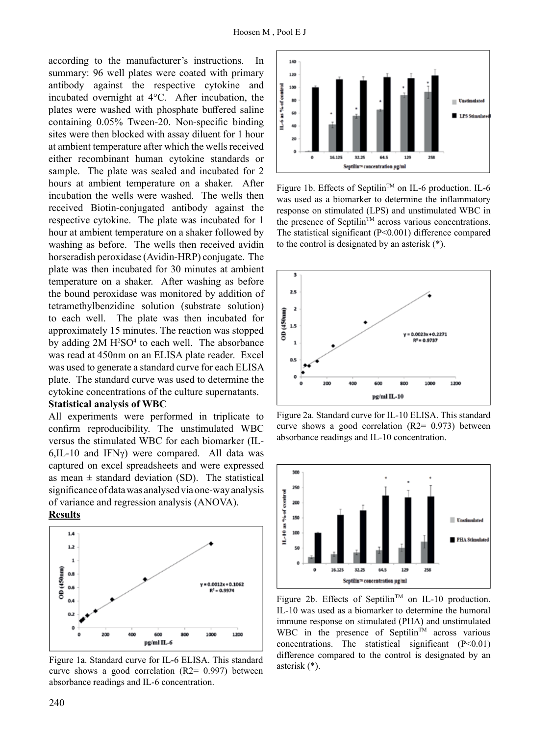according to the manufacturer's instructions. In summary: 96 well plates were coated with primary antibody against the respective cytokine and incubated overnight at 4°C. After incubation, the plates were washed with phosphate buffered saline containing 0.05% Tween-20. Non-specific binding sites were then blocked with assay diluent for 1 hour at ambient temperature after which the wells received either recombinant human cytokine standards or sample. The plate was sealed and incubated for 2 hours at ambient temperature on a shaker. After incubation the wells were washed. The wells then received Biotin-conjugated antibody against the respective cytokine. The plate was incubated for 1 hour at ambient temperature on a shaker followed by washing as before. The wells then received avidin horseradish peroxidase (Avidin-HRP) conjugate. The plate was then incubated for 30 minutes at ambient temperature on a shaker. After washing as before the bound peroxidase was monitored by addition of tetramethylbenzidine solution (substrate solution) to each well. The plate was then incubated for approximately 15 minutes. The reaction was stopped by adding 2M H<sup>2</sup>SO<sup>4</sup> to each well. The absorbance was read at 450nm on an ELISA plate reader. Excel was used to generate a standard curve for each ELISA plate. The standard curve was used to determine the cytokine concentrations of the culture supernatants.

#### **Statistical analysis of WBC**

All experiments were performed in triplicate to confirm reproducibility. The unstimulated WBC versus the stimulated WBC for each biomarker (IL- $6$ ,IL-10 and IFN $\gamma$ ) were compared. All data was captured on excel spreadsheets and were expressed as mean  $\pm$  standard deviation (SD). The statistical significance of data was analysed via one-way analysis of variance and regression analysis (ANOVA).

### **Results**



Figure 1a. Standard curve for IL-6 ELISA. This standard *FIXUYE Bhows* a good correlation (R2= 0.997) between absorbance readings and IL-6 concentration.



Figure 1b. Effects of Septilin<sup>™</sup> on IL-6 production. IL-6 was used as a biomarker to determine the inflammatory response on stimulated (LPS) and unstimulated WBC in the presence of Septilin<sup>TM</sup> across various concentrations. The statistical significant (P<0.001) difference compared to the control is designated by an asterisk  $(*)$ .



Figure 2a. Standard curve for IL-10 ELISA. This standard *FIXUYE* shows a good correlation (R2= 0.973) between absorbance readings and IL-10 concentration.



 $Figure 2b$ . Effects of Septilin<sup>TM</sup> on IL-10 production. IL-10 was used as a biomarker to determine the humoral immune response on stimulated (PHA) and unstimulated *WBC* in the presence of Septilin<sup>™</sup> across various *FRQFHqtarpoontrations.* The statistical significant (P<0.01) *GLI*<sup> $\text{f}$ </sup> *FRPS FRPS FRPS FRPS FRPS FRPS FRPS E FRPS E FRPS E FRPS E FRPS E FRPS E FRPS E FRPS E FRPS E FRPS E FRPS E FRPS E FRPS E FRPS E FRPS E* asterisk  $(*)$ .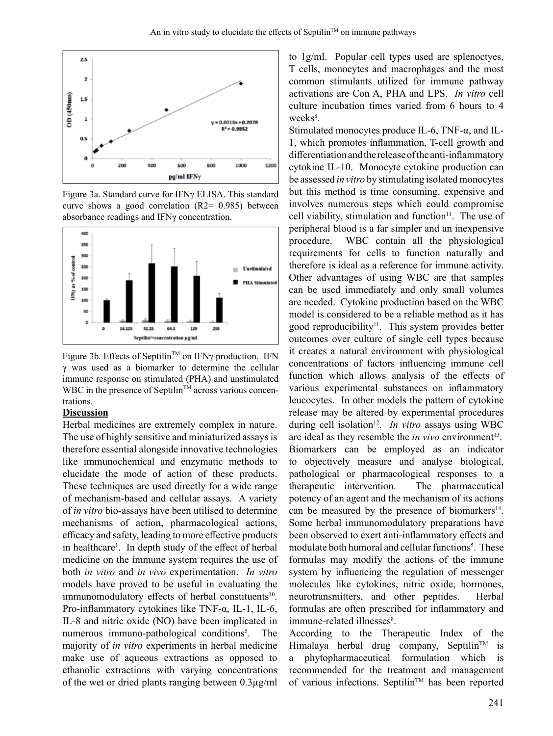

Figure 3a. Standard curve for IFNy ELISA. This standard curve shows a good correlation ( $R2$ = 0.985) between absorbance readings and IFNy concentration.



Figure 3b. Effects of Septilin™ on IFNy production. IFN  $\gamma$  was used as a biomarker to determine the cellular immune response on stimulated (PHA) and unstimulated WBC in the presence of Septilin<sup>TM</sup> across various concentrations.

### **Discussion**

Herbal medicines are extremely complex in nature. The use of highly sensitive and miniaturized assays is therefore essential alongside innovative technologies like immunochemical and enzymatic methods to elucidate the mode of action of these products. These techniques are used directly for a wide range of mechanism-based and cellular assays. A variety of *in vitro* bio-assays have been utilised to determine mechanisms of action, pharmacological actions, efficacy and safety, leading to more effective products in healthcare<sup>1</sup>. In depth study of the effect of herbal medicine on the immune system requires the use of both *in vitro* and *in vivo* experimentation. *In vitro* models have proved to be useful in evaluating the immunomodulatory effects of herbal constituents<sup>10</sup>. Pro-inflammatory cytokines like TNF-α, IL-1, IL-6, IL-8 and nitric oxide (NO) have been implicated in numerous immuno-pathological conditions<sup>5</sup>. The majority of *in vitro* experiments in herbal medicine make use of aqueous extractions as opposed to ethanolic extractions with varying concentrations of the wet or dried plants ranging between 0.3µg/ml

to 1g/ml. Popular cell types used are splenoctyes, T cells, monocytes and macrophages and the most common stimulants utilized for immune pathway activations are Con A, PHA and LPS. *In vitro* cell culture incubation times varied from 6 hours to 4 weeks<sup>8</sup>.

Stimulated monocytes produce IL-6, TNF-α, and IL-1, which promotes inflammation, T-cell growth and differentiationandthereleaseoftheanti-inflammatory cytokine IL-10. Monocyte cytokine production can be assessed *in vitro* by stimulating isolated monocytes but this method is time consuming, expensive and involves numerous steps which could compromise cell viability, stimulation and function $11$ . The use of peripheral blood is a far simpler and an inexpensive procedure. WBC contain all the physiological requirements for cells to function naturally and therefore is ideal as a reference for immune activity. Other advantages of using WBC are that samples can be used immediately and only small volumes are needed. Cytokine production based on the WBC model is considered to be a reliable method as it has good reproducibility<sup>11</sup>. This system provides better outcomes over culture of single cell types because it creates a natural environment with physiological concentrations of factors influencing immune cell function which allows analysis of the effects of various experimental substances on inflammatory leucocytes. In other models the pattern of cytokine release may be altered by experimental procedures during cell isolation<sup>12</sup>. *In vitro* assays using WBC are ideal as they resemble the *in vivo* environment<sup>13</sup>. Biomarkers can be employed as an indicator to objectively measure and analyse biological, pathological or pharmacological responses to a therapeutic intervention. The pharmaceutical potency of an agent and the mechanism of its actions can be measured by the presence of biomarkers<sup>14</sup>. Some herbal immunomodulatory preparations have been observed to exert anti-inflammatory effects and modulate both humoral and cellular functions<sup>5</sup>. These formulas may modify the actions of the immune system by influencing the regulation of messenger molecules like cytokines, nitric oxide, hormones, neurotransmitters, and other peptides. Herbal formulas are often prescribed for inflammatory and immune-related illnesses<sup>8</sup>.

According to the Therapeutic Index of the Himalaya herbal drug company, Septilin<sup>TM</sup> is a phytopharmaceutical formulation which is recommended for the treatment and management of various infections. Septilin™ has been reported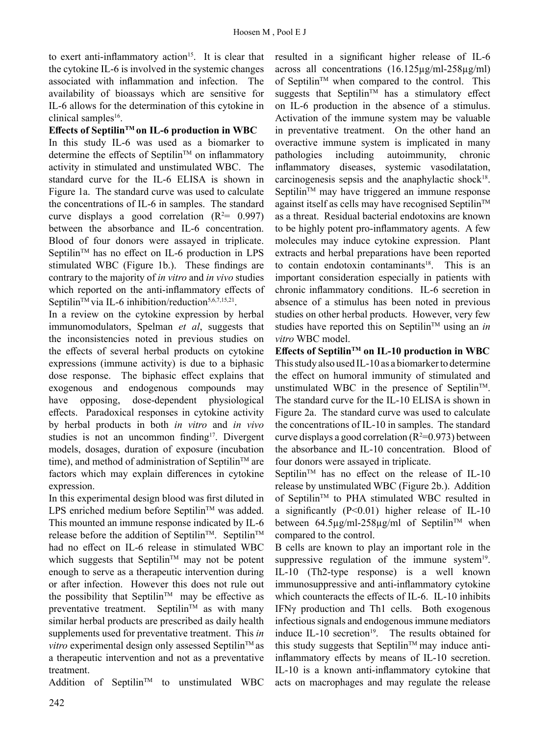to exert anti-inflammatory action<sup>15</sup>. It is clear that the cytokine IL-6 is involved in the systemic changes associated with inflammation and infection. The availability of bioassays which are sensitive for IL-6 allows for the determination of this cytokine in clinical samples<sup>16</sup>.

### **Effects of SeptilinTM on IL-6 production in WBC**

In this study IL-6 was used as a biomarker to determine the effects of Septilin<sup>TM</sup> on inflammatory activity in stimulated and unstimulated WBC. The standard curve for the IL-6 ELISA is shown in Figure 1a. The standard curve was used to calculate the concentrations of IL-6 in samples. The standard curve displays a good correlation  $(R^2= 0.997)$ between the absorbance and IL-6 concentration. Blood of four donors were assayed in triplicate. Septilin<sup>TM</sup> has no effect on IL-6 production in LPS stimulated WBC (Figure 1b.). These findings are contrary to the majority of *in vitro* and *in vivo* studies which reported on the anti-inflammatory effects of Septilin<sup>TM</sup> via IL-6 inhibition/reduction<sup>5,6,7,15,21</sup>.

In a review on the cytokine expression by herbal immunomodulators, Spelman *et al*, suggests that the inconsistencies noted in previous studies on the effects of several herbal products on cytokine expressions (immune activity) is due to a biphasic dose response. The biphasic effect explains that exogenous and endogenous compounds may have opposing, dose-dependent physiological effects. Paradoxical responses in cytokine activity by herbal products in both *in vitro* and *in vivo* studies is not an uncommon finding<sup>17</sup>. Divergent models, dosages, duration of exposure (incubation time), and method of administration of Septilin<sup>TM</sup> are factors which may explain differences in cytokine expression.

In this experimental design blood was first diluted in LPS enriched medium before Septilin™ was added. This mounted an immune response indicated by IL-6 release before the addition of Septilin<sup>TM</sup>. Septilin<sup>TM</sup> had no effect on IL-6 release in stimulated WBC which suggests that Septilin<sup>TM</sup> may not be potent enough to serve as a therapeutic intervention during or after infection. However this does not rule out the possibility that Septilin<sup>TM</sup> may be effective as preventative treatment. Septilin<sup>™</sup> as with many similar herbal products are prescribed as daily health supplements used for preventative treatment. This *in vitro* experimental design only assessed Septilin<sup>TM</sup> as a therapeutic intervention and not as a preventative treatment.

Addition of Septilin<sup>TM</sup> to unstimulated WBC

resulted in a significant higher release of IL-6 across all concentrations (16.125µg/ml-258µg/ml) of Septilin™ when compared to the control. This suggests that Septilin<sup>TM</sup> has a stimulatory effect on IL-6 production in the absence of a stimulus. Activation of the immune system may be valuable in preventative treatment. On the other hand an overactive immune system is implicated in many pathologies including autoimmunity, chronic inflammatory diseases, systemic vasodilatation, carcinogenesis sepsis and the anaphylactic shock $18$ . Septilin<sup> $TM$ </sup> may have triggered an immune response against itself as cells may have recognised Septilin™ as a threat. Residual bacterial endotoxins are known to be highly potent pro-inflammatory agents. A few molecules may induce cytokine expression. Plant extracts and herbal preparations have been reported to contain endotoxin contaminants<sup>18</sup>. This is an important consideration especially in patients with chronic inflammatory conditions. IL-6 secretion in absence of a stimulus has been noted in previous studies on other herbal products. However, very few studies have reported this on Septilin<sup>TM</sup> using an *in vitro* WBC model.

**Effects of SeptilinTM on IL-10 production in WBC** This study also used IL-10 as a biomarker to determine the effect on humoral immunity of stimulated and unstimulated WBC in the presence of Septilin<sup>™</sup>. The standard curve for the IL-10 ELISA is shown in Figure 2a. The standard curve was used to calculate the concentrations of IL-10 in samples. The standard curve displays a good correlation ( $R^2=0.973$ ) between the absorbance and IL-10 concentration. Blood of four donors were assayed in triplicate.

Septilin<sup>TM</sup> has no effect on the release of IL-10 release by unstimulated WBC (Figure 2b.). Addition of Septilin<sup>™</sup> to PHA stimulated WBC resulted in a significantly (P<0.01) higher release of IL-10 between  $64.5\mu g/ml-258\mu g/ml$  of Septilin<sup>TM</sup> when compared to the control.

B cells are known to play an important role in the suppressive regulation of the immune system $19$ . IL-10 (Th2-type response) is a well known immunosuppressive and anti-inflammatory cytokine which counteracts the effects of IL-6. IL-10 inhibits IFNγ production and Th1 cells. Both exogenous infectious signals and endogenous immune mediators induce IL-10 secretion $19$ . The results obtained for this study suggests that Septilin<sup>TM</sup> may induce antiinflammatory effects by means of IL-10 secretion. IL-10 is a known anti-inflammatory cytokine that acts on macrophages and may regulate the release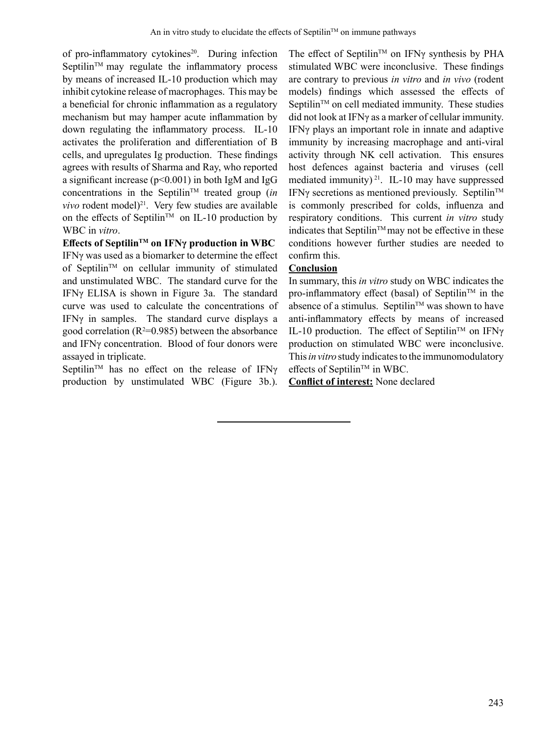of pro-inflammatory cytokines<sup>20</sup>. During infection Septilin<sup> $TM$ </sup> may regulate the inflammatory process by means of increased IL-10 production which may inhibit cytokine release of macrophages. This may be a beneficial for chronic inflammation as a regulatory mechanism but may hamper acute inflammation by down regulating the inflammatory process. IL-10 activates the proliferation and differentiation of B cells, and upregulates Ig production. These findings agrees with results of Sharma and Ray, who reported a significant increase (p<0.001) in both IgM and IgG concentrations in the Septilin<sup>TM</sup> treated group (*in*) *vivo* rodent model)<sup>21</sup>. Very few studies are available on the effects of Septilin<sup>TM</sup> on IL-10 production by WBC in *vitro*.

**Effects of SeptilinTM on IFNγ production in WBC** IFNγ was used as a biomarker to determine the effect of SeptilinTM on cellular immunity of stimulated and unstimulated WBC. The standard curve for the IFNγ ELISA is shown in Figure 3a. The standard curve was used to calculate the concentrations of IFNγ in samples. The standard curve displays a good correlation ( $R^2$ =0.985) between the absorbance and IFNγ concentration. Blood of four donors were assayed in triplicate.

Septilin<sup>™</sup> has no effect on the release of IFNγ production by unstimulated WBC (Figure 3b.). The effect of Septilin<sup>TM</sup> on IFN $\gamma$  synthesis by PHA stimulated WBC were inconclusive. These findings are contrary to previous *in vitro* and *in vivo* (rodent models) findings which assessed the effects of Septilin<sup>TM</sup> on cell mediated immunity. These studies did not look at IFNγ as a marker of cellular immunity. IFNγ plays an important role in innate and adaptive immunity by increasing macrophage and anti-viral activity through NK cell activation. This ensures host defences against bacteria and viruses (cell mediated immunity)<sup>21</sup>. IL-10 may have suppressed IFN $\gamma$  secretions as mentioned previously. Septilin<sup>TM</sup> is commonly prescribed for colds, influenza and respiratory conditions. This current *in vitro* study indicates that Septilin<sup>TM</sup> may not be effective in these conditions however further studies are needed to confirm this.

# **Conclusion**

In summary, this *in vitro* study on WBC indicates the pro-inflammatory effect (basal) of Septilin<sup>TM</sup> in the absence of a stimulus. Septilin<sup>TM</sup> was shown to have anti-inflammatory effects by means of increased IL-10 production. The effect of Septilin<sup>TM</sup> on IFN $\gamma$ production on stimulated WBC were inconclusive. This *in vitro* study indicates to the immunomodulatory effects of Septilin<sup>TM</sup> in WBC.

**Conflict of interest:** None declared